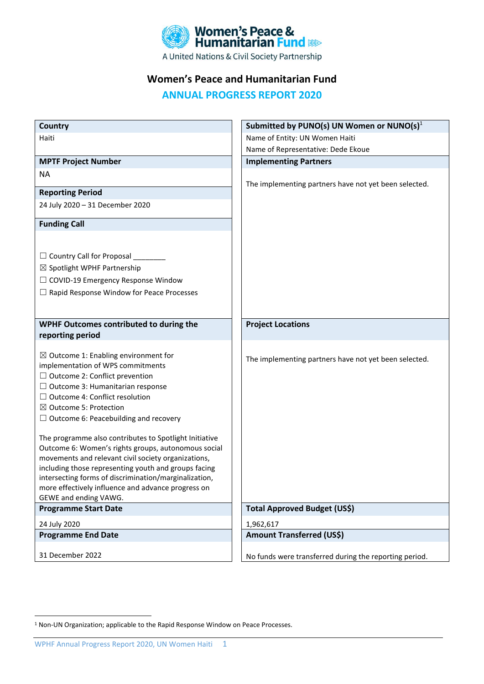

# **Women's Peace and Humanitarian Fund**

**ANNUAL PROGRESS REPORT 2020**

| <b>Country</b>                                                                                                | Submitted by PUNO(s) UN Women or NUNO(s) $1$           |
|---------------------------------------------------------------------------------------------------------------|--------------------------------------------------------|
| Haiti                                                                                                         | Name of Entity: UN Women Haiti                         |
|                                                                                                               | Name of Representative: Dede Ekoue                     |
| <b>MPTF Project Number</b>                                                                                    | <b>Implementing Partners</b>                           |
| <b>NA</b>                                                                                                     |                                                        |
|                                                                                                               | The implementing partners have not yet been selected.  |
| <b>Reporting Period</b>                                                                                       |                                                        |
| 24 July 2020 - 31 December 2020                                                                               |                                                        |
| <b>Funding Call</b>                                                                                           |                                                        |
|                                                                                                               |                                                        |
| $\Box$ Country Call for Proposal                                                                              |                                                        |
| $\boxtimes$ Spotlight WPHF Partnership                                                                        |                                                        |
| $\Box$ COVID-19 Emergency Response Window                                                                     |                                                        |
| $\Box$ Rapid Response Window for Peace Processes                                                              |                                                        |
|                                                                                                               |                                                        |
|                                                                                                               |                                                        |
| WPHF Outcomes contributed to during the                                                                       | <b>Project Locations</b>                               |
| reporting period                                                                                              |                                                        |
| $\boxtimes$ Outcome 1: Enabling environment for                                                               |                                                        |
| implementation of WPS commitments                                                                             | The implementing partners have not yet been selected.  |
| $\Box$ Outcome 2: Conflict prevention                                                                         |                                                        |
| $\Box$ Outcome 3: Humanitarian response                                                                       |                                                        |
| $\Box$ Outcome 4: Conflict resolution                                                                         |                                                        |
| $\boxtimes$ Outcome 5: Protection                                                                             |                                                        |
| $\Box$ Outcome 6: Peacebuilding and recovery                                                                  |                                                        |
|                                                                                                               |                                                        |
| The programme also contributes to Spotlight Initiative<br>Outcome 6: Women's rights groups, autonomous social |                                                        |
| movements and relevant civil society organizations,                                                           |                                                        |
| including those representing youth and groups facing                                                          |                                                        |
| intersecting forms of discrimination/marginalization,                                                         |                                                        |
| more effectively influence and advance progress on                                                            |                                                        |
| GEWE and ending VAWG.                                                                                         |                                                        |
| <b>Programme Start Date</b>                                                                                   | <b>Total Approved Budget (US\$)</b>                    |
| 24 July 2020                                                                                                  | 1,962,617                                              |
| <b>Programme End Date</b>                                                                                     | <b>Amount Transferred (US\$)</b>                       |
|                                                                                                               |                                                        |
| 31 December 2022                                                                                              | No funds were transferred during the reporting period. |

<sup>1</sup> Non-UN Organization; applicable to the Rapid Response Window on Peace Processes.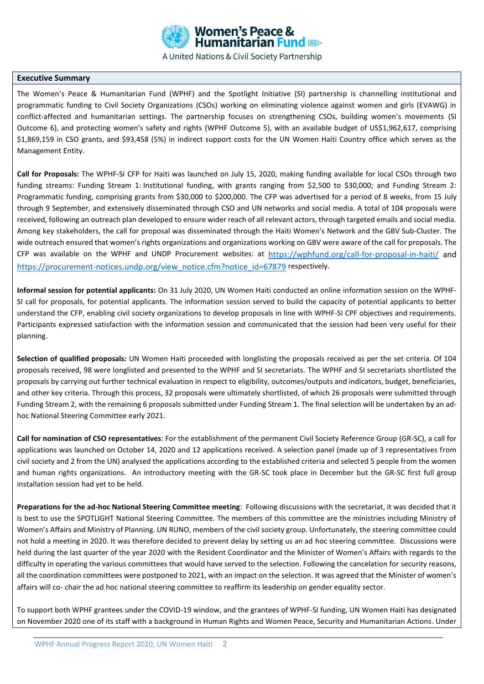

A United Nations & Civil Society Partnership

#### **Executive Summary**

The Women's Peace & Humanitarian Fund (WPHF) and the Spotlight Initiative (SI) partnership is channelling institutional and programmatic funding to Civil Society Organizations (CSOs) working on eliminating violence against women and girls (EVAWG) in conflict-affected and humanitarian settings. The partnership focuses on strengthening CSOs, building women's movements (SI Outcome 6), and protecting women's safety and rights (WPHF Outcome 5), with an available budget of US\$1,962,617, comprising \$1,869,159 in CSO grants, and \$93,458 (5%) in indirect support costs for the UN Women Haiti Country office which serves as the Management Entity.

**Call for Proposals:** The WPHF-SI CFP for Haiti was launched on July 15, 2020, making funding available for local CSOs through two funding streams: Funding Stream 1: Institutional funding, with grants ranging from \$2,500 to \$30,000; and Funding Stream 2: Programmatic funding, comprising grants from \$30,000 to \$200,000. The CFP was advertised for a period of 8 weeks, from 15 July through 9 September, and extensively disseminated through CSO and UN networks and social media. A total of 104 proposals were received, following an outreach plan developed to ensure wider reach of all relevant actors, through targeted emails and social media. Among key stakeholders, the call for proposal was disseminated through the Haiti Women's Network and the GBV Sub-Cluster. The wide outreach ensured that women's rights organizations and organizations working on GBV were aware of the call for proposals. The CFP was available on the WPHF and UNDP Procurement websites: at <https://wphfund.org/call-for-proposal-in-haiti/> and [https://procurement-notices.undp.org/view\\_notice.cfm?notice\\_id=67879](https://procurement-notices.undp.org/view_notice.cfm?notice_id=67879) respectively.

**Informal session for potential applicants:** On 31 July 2020, UN Women Haiti conducted an online information session on the WPHF-SI call for proposals, for potential applicants. The information session served to build the capacity of potential applicants to better understand the CFP, enabling civil society organizations to develop proposals in line with WPHF-SI CPF objectives and requirements. Participants expressed satisfaction with the information session and communicated that the session had been very useful for their planning.

**Selection of qualified proposals:** UN Women Haiti proceeded with longlisting the proposals received as per the set criteria. Of 104 proposals received, 98 were longlisted and presented to the WPHF and SI secretariats. The WPHF and SI secretariats shortlisted the proposals by carrying out further technical evaluation in respect to eligibility, outcomes/outputs and indicators, budget, beneficiaries, and other key criteria. Through this process, 32 proposals were ultimately shortlisted, of which 26 proposals were submitted through Funding Stream 2, with the remaining 6 proposals submitted under Funding Stream 1. The final selection will be undertaken by an adhoc National Steering Committee early 2021.

**Call for nomination of CSO representatives**: For the establishment of the permanent Civil Society Reference Group (GR-SC), a call for applications was launched on October 14, 2020 and 12 applications received. A selection panel (made up of 3 representatives from civil society and 2 from the UN) analysed the applications according to the established criteria and selected 5 people from the women and human rights organizations. An introductory meeting with the GR-SC took place in December but the GR-SC first full group installation session had yet to be held.

**Preparations for the ad-hoc National Steering Committee meeting**: Following discussions with the secretariat, it was decided that it is best to use the SPOTLIGHT National Steering Committee. The members of this committee are the ministries including Ministry of Women's Affairs and Ministry of Planning. UN RUNO, members of the civil society group. Unfortunately, the steering committee could not hold a meeting in 2020. It was therefore decided to prevent delay by setting us an ad hoc steering committee. Discussions were held during the last quarter of the year 2020 with the Resident Coordinator and the Minister of Women's Affairs with regards to the difficulty in operating the various committees that would have served to the selection. Following the cancelation for security reasons, all the coordination committees were postponed to 2021, with an impact on the selection. It was agreed that the Minister of women's affairs will co- chair the ad hoc national steering committee to reaffirm its leadership on gender equality sector.

To support both WPHF grantees under the COVID-19 window, and the grantees of WPHF-SI funding, UN Women Haiti has designated on November 2020 one of its staff with a background in Human Rights and Women Peace, Security and Humanitarian Actions. Under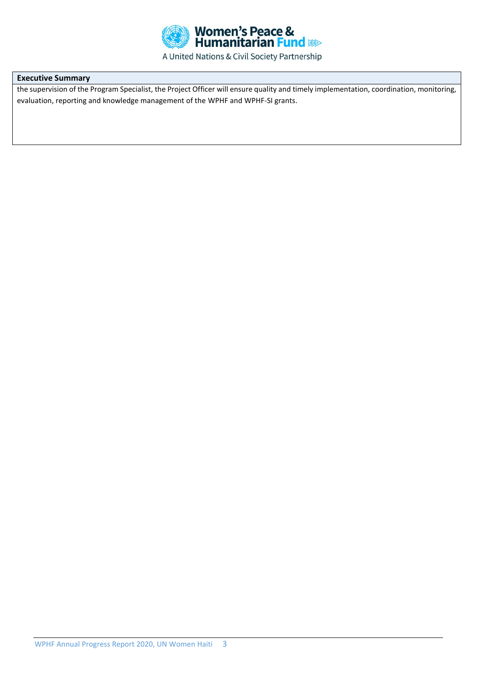

# A United Nations & Civil Society Partnership

# **Executive Summary**

the supervision of the Program Specialist, the Project Officer will ensure quality and timely implementation, coordination, monitoring, evaluation, reporting and knowledge management of the WPHF and WPHF-SI grants.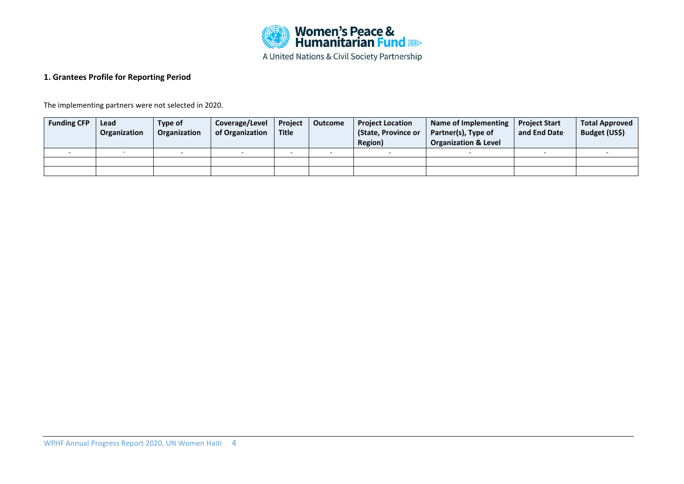

# **1. Grantees Profile for Reporting Period**

The implementing partners were not selected in 2020.

| <b>Funding CFP</b> | Lead<br>Organization | Type of<br>Organization | Coverage/Level<br>of Organization | Project<br><b>Title</b> | <b>Outcome</b> | <b>Project Location</b><br>(State, Province or<br>Region) | Name of Implementing<br>Partner(s), Type of<br><b>Organization &amp; Level</b> | <b>Project Start</b><br>and End Date | <b>Total Approved</b><br>Budget (US\$) |
|--------------------|----------------------|-------------------------|-----------------------------------|-------------------------|----------------|-----------------------------------------------------------|--------------------------------------------------------------------------------|--------------------------------------|----------------------------------------|
|                    |                      |                         |                                   |                         |                |                                                           |                                                                                |                                      |                                        |
|                    |                      |                         |                                   |                         |                |                                                           |                                                                                |                                      |                                        |
|                    |                      |                         |                                   |                         |                |                                                           |                                                                                |                                      |                                        |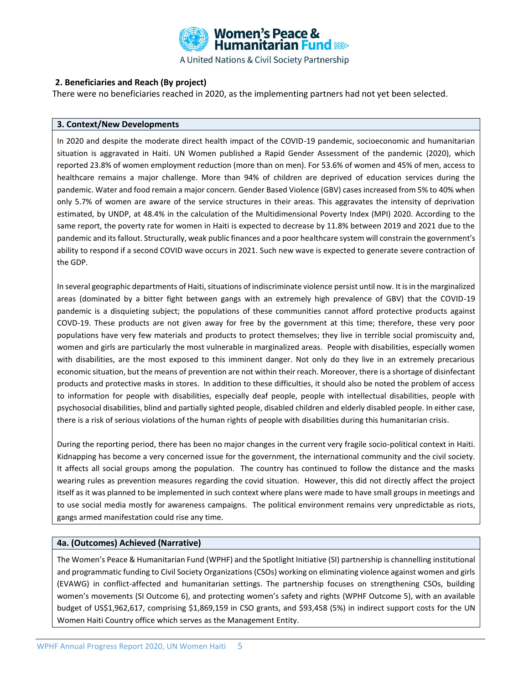

# **2. Beneficiaries and Reach (By project)**

There were no beneficiaries reached in 2020, as the implementing partners had not yet been selected.

#### **3. Context/New Developments**

In 2020 and despite the moderate direct health impact of the COVID-19 pandemic, socioeconomic and humanitarian situation is aggravated in Haiti. UN Women published a Rapid Gender Assessment of the pandemic (2020), which reported 23.8% of women employment reduction (more than on men). For 53.6% of women and 45% of men, access to healthcare remains a major challenge. More than 94% of children are deprived of education services during the pandemic. Water and food remain a major concern. Gender Based Violence (GBV) cases increased from 5% to 40% when only 5.7% of women are aware of the service structures in their areas. This aggravates the intensity of deprivation estimated, by UNDP, at 48.4% in the calculation of the Multidimensional Poverty Index (MPI) 2020. According to the same report, the poverty rate for women in Haiti is expected to decrease by 11.8% between 2019 and 2021 due to the pandemic and its fallout. Structurally, weak public finances and a poor healthcare system will constrain the government's ability to respond if a second COVID wave occurs in 2021. Such new wave is expected to generate severe contraction of the GDP.

In several geographic departments of Haiti, situations of indiscriminate violence persist until now. It is in the marginalized areas (dominated by a bitter fight between gangs with an extremely high prevalence of GBV) that the COVID-19 pandemic is a disquieting subject; the populations of these communities cannot afford protective products against COVD-19. These products are not given away for free by the government at this time; therefore, these very poor populations have very few materials and products to protect themselves; they live in terrible social promiscuity and, women and girls are particularly the most vulnerable in marginalized areas. People with disabilities, especially women with disabilities, are the most exposed to this imminent danger. Not only do they live in an extremely precarious economic situation, but the means of prevention are not within their reach. Moreover, there is a shortage of disinfectant products and protective masks in stores. In addition to these difficulties, it should also be noted the problem of access to information for people with disabilities, especially deaf people, people with intellectual disabilities, people with psychosocial disabilities, blind and partially sighted people, disabled children and elderly disabled people. In either case, there is a risk of serious violations of the human rights of people with disabilities during this humanitarian crisis.

During the reporting period, there has been no major changes in the current very fragile socio-political context in Haiti. Kidnapping has become a very concerned issue for the government, the international community and the civil society. It affects all social groups among the population. The country has continued to follow the distance and the masks wearing rules as prevention measures regarding the covid situation. However, this did not directly affect the project itself as it was planned to be implemented in such context where plans were made to have small groups in meetings and to use social media mostly for awareness campaigns. The political environment remains very unpredictable as riots, gangs armed manifestation could rise any time.

#### **4a. (Outcomes) Achieved (Narrative)**

The Women's Peace & Humanitarian Fund (WPHF) and the Spotlight Initiative (SI) partnership is channelling institutional and programmatic funding to Civil Society Organizations (CSOs) working on eliminating violence against women and girls (EVAWG) in conflict-affected and humanitarian settings. The partnership focuses on strengthening CSOs, building women's movements (SI Outcome 6), and protecting women's safety and rights (WPHF Outcome 5), with an available budget of US\$1,962,617, comprising \$1,869,159 in CSO grants, and \$93,458 (5%) in indirect support costs for the UN Women Haiti Country office which serves as the Management Entity.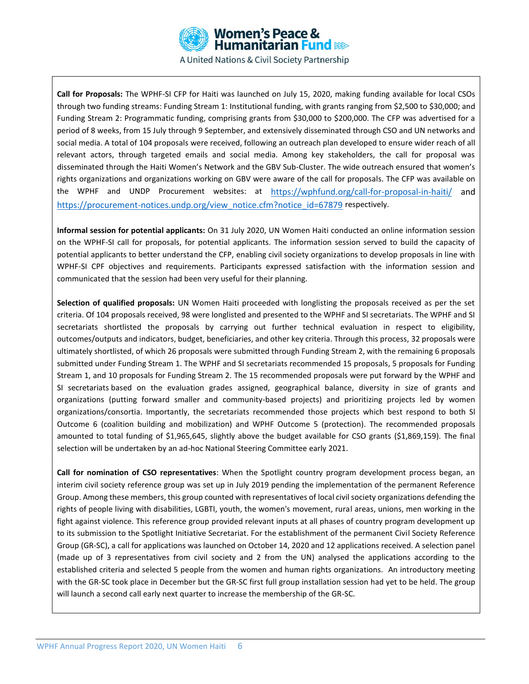

**Call for Proposals:** The WPHF-SI CFP for Haiti was launched on July 15, 2020, making funding available for local CSOs through two funding streams: Funding Stream 1: Institutional funding, with grants ranging from \$2,500 to \$30,000; and Funding Stream 2: Programmatic funding, comprising grants from \$30,000 to \$200,000. The CFP was advertised for a period of 8 weeks, from 15 July through 9 September, and extensively disseminated through CSO and UN networks and social media. A total of 104 proposals were received, following an outreach plan developed to ensure wider reach of all relevant actors, through targeted emails and social media. Among key stakeholders, the call for proposal was disseminated through the Haiti Women's Network and the GBV Sub-Cluster. The wide outreach ensured that women's rights organizations and organizations working on GBV were aware of the call for proposals. The CFP was available on the WPHF and UNDP Procurement websites: at <https://wphfund.org/call-for-proposal-in-haiti/> and [https://procurement-notices.undp.org/view\\_notice.cfm?notice\\_id=67879](https://procurement-notices.undp.org/view_notice.cfm?notice_id=67879) respectively.

**Informal session for potential applicants:** On 31 July 2020, UN Women Haiti conducted an online information session on the WPHF-SI call for proposals, for potential applicants. The information session served to build the capacity of potential applicants to better understand the CFP, enabling civil society organizations to develop proposals in line with WPHF-SI CPF objectives and requirements. Participants expressed satisfaction with the information session and communicated that the session had been very useful for their planning.

**Selection of qualified proposals:** UN Women Haiti proceeded with longlisting the proposals received as per the set criteria. Of 104 proposals received, 98 were longlisted and presented to the WPHF and SI secretariats. The WPHF and SI secretariats shortlisted the proposals by carrying out further technical evaluation in respect to eligibility, outcomes/outputs and indicators, budget, beneficiaries, and other key criteria. Through this process, 32 proposals were ultimately shortlisted, of which 26 proposals were submitted through Funding Stream 2, with the remaining 6 proposals submitted under Funding Stream 1. The WPHF and SI secretariats recommended 15 proposals, 5 proposals for Funding Stream 1, and 10 proposals for Funding Stream 2. The 15 recommended proposals were put forward by the WPHF and SI secretariats based on the evaluation grades assigned, geographical balance, diversity in size of grants and organizations (putting forward smaller and community-based projects) and prioritizing projects led by women organizations/consortia. Importantly, the secretariats recommended those projects which best respond to both Sl Outcome 6 (coalition building and mobilization) and WPHF Outcome 5 (protection). The recommended proposals amounted to total funding of \$1,965,645, slightly above the budget available for CSO grants (\$1,869,159). The final selection will be undertaken by an ad-hoc National Steering Committee early 2021.

**Call for nomination of CSO representatives**: When the Spotlight country program development process began, an interim civil society reference group was set up in July 2019 pending the implementation of the permanent Reference Group. Among these members, this group counted with representatives of local civil society organizations defending the rights of people living with disabilities, LGBTI, youth, the women's movement, rural areas, unions, men working in the fight against violence. This reference group provided relevant inputs at all phases of country program development up to its submission to the Spotlight Initiative Secretariat. For the establishment of the permanent Civil Society Reference Group (GR-SC), a call for applications was launched on October 14, 2020 and 12 applications received. A selection panel (made up of 3 representatives from civil society and 2 from the UN) analysed the applications according to the established criteria and selected 5 people from the women and human rights organizations. An introductory meeting with the GR-SC took place in December but the GR-SC first full group installation session had yet to be held. The group will launch a second call early next quarter to increase the membership of the GR-SC.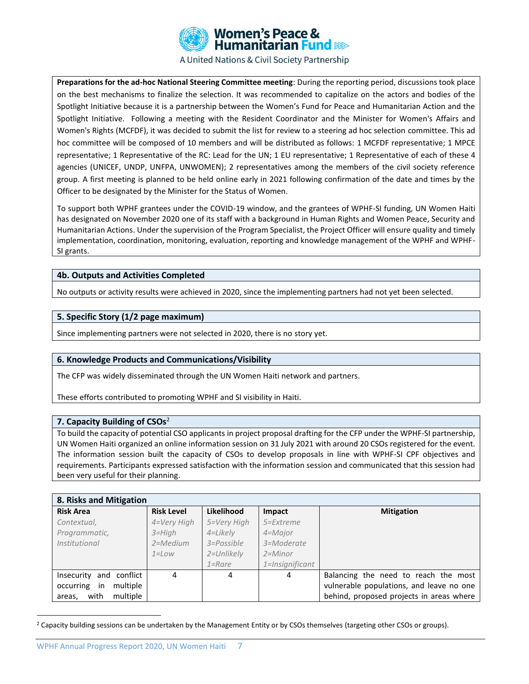

**Preparations for the ad-hoc National Steering Committee meeting**: During the reporting period, discussions took place on the best mechanisms to finalize the selection. It was recommended to capitalize on the actors and bodies of the Spotlight Initiative because it is a partnership between the Women's Fund for Peace and Humanitarian Action and the Spotlight Initiative. Following a meeting with the Resident Coordinator and the Minister for Women's Affairs and Women's Rights (MCFDF), it was decided to submit the list for review to a steering ad hoc selection committee. This ad hoc committee will be composed of 10 members and will be distributed as follows: 1 MCFDF representative; 1 MPCE representative; 1 Representative of the RC: Lead for the UN; 1 EU representative; 1 Representative of each of these 4 agencies (UNICEF, UNDP, UNFPA, UNWOMEN); 2 representatives among the members of the civil society reference group. A first meeting is planned to be held online early in 2021 following confirmation of the date and times by the Officer to be designated by the Minister for the Status of Women.

To support both WPHF grantees under the COVID-19 window, and the grantees of WPHF-SI funding, UN Women Haiti has designated on November 2020 one of its staff with a background in Human Rights and Women Peace, Security and Humanitarian Actions. Under the supervision of the Program Specialist, the Project Officer will ensure quality and timely implementation, coordination, monitoring, evaluation, reporting and knowledge management of the WPHF and WPHF-SI grants.

## **4b. Outputs and Activities Completed**

No outputs or activity results were achieved in 2020, since the implementing partners had not yet been selected.

#### **5. Specific Story (1/2 page maximum)**

Since implementing partners were not selected in 2020, there is no story yet.

#### **6. Knowledge Products and Communications/Visibility**

The CFP was widely disseminated through the UN Women Haiti network and partners.

These efforts contributed to promoting WPHF and SI visibility in Haiti.

#### **7. Capacity Building of CSOs**<sup>2</sup>

To build the capacity of potential CSO applicants in project proposal drafting for the CFP under the WPHF-SI partnership, UN Women Haiti organized an online information session on 31 July 2021 with around 20 CSOs registered for the event. The information session built the capacity of CSOs to develop proposals in line with WPHF-SI CPF objectives and requirements. Participants expressed satisfaction with the information session and communicated that this session had been very useful for their planning.

## **8. Risks and Mitigation**

| <b>Risk Area</b>              | <b>Risk Level</b> | Likelihood     | <b>Impact</b>   | <b>Mitigation</b>                        |  |  |  |  |
|-------------------------------|-------------------|----------------|-----------------|------------------------------------------|--|--|--|--|
| Contextual,                   | 4=Very High       | 5=Very High    | 5=Extreme       |                                          |  |  |  |  |
| Programmatic,                 | $3 = High$        | 4=Likely       | 4=Major         |                                          |  |  |  |  |
| <i>Institutional</i>          | $2 = Medium$      | $3 = Possible$ | 3=Moderate      |                                          |  |  |  |  |
|                               | $1 = Low$         | 2=Unlikely     | $2 =$ Minor     |                                          |  |  |  |  |
|                               |                   | $1 =$ Rare     | 1=Insignificant |                                          |  |  |  |  |
| conflict<br>Insecurity<br>and | 4                 | 4              | 4               | Balancing the need to reach the most     |  |  |  |  |
| multiple<br>occurring<br>in   |                   |                |                 | vulnerable populations, and leave no one |  |  |  |  |
| multiple<br>with<br>areas,    |                   |                |                 | behind, proposed projects in areas where |  |  |  |  |

<sup>&</sup>lt;sup>2</sup> Capacity building sessions can be undertaken by the Management Entity or by CSOs themselves (targeting other CSOs or groups).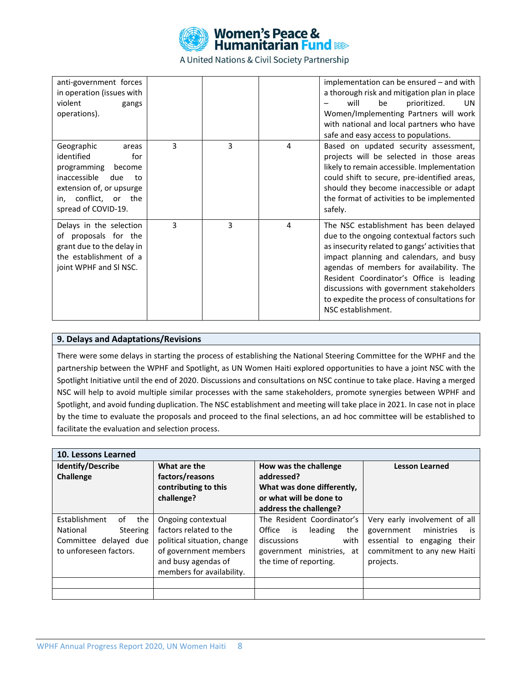

A United Nations & Civil Society Partnership

| anti-government forces<br>in operation (issues with<br>violent<br>gangs<br>operations).                                                                                   |   |   |   | implementation can be ensured - and with<br>a thorough risk and mitigation plan in place<br>be<br>prioritized.<br>will<br>UN<br>Women/Implementing Partners will work<br>with national and local partners who have<br>safe and easy access to populations.                                                                                                                                   |
|---------------------------------------------------------------------------------------------------------------------------------------------------------------------------|---|---|---|----------------------------------------------------------------------------------------------------------------------------------------------------------------------------------------------------------------------------------------------------------------------------------------------------------------------------------------------------------------------------------------------|
| Geographic<br>areas<br>identified<br>for<br>programming<br>become<br>inaccessible<br>due<br>to<br>extension of, or upsurge<br>in, conflict, or the<br>spread of COVID-19. | 3 | 3 | 4 | Based on updated security assessment,<br>projects will be selected in those areas<br>likely to remain accessible. Implementation<br>could shift to secure, pre-identified areas,<br>should they become inaccessible or adapt<br>the format of activities to be implemented<br>safely.                                                                                                        |
| Delays in the selection<br>of proposals for the<br>grant due to the delay in<br>the establishment of a<br>joint WPHF and SI NSC.                                          | 3 | 3 | 4 | The NSC establishment has been delayed<br>due to the ongoing contextual factors such<br>as insecurity related to gangs' activities that<br>impact planning and calendars, and busy<br>agendas of members for availability. The<br>Resident Coordinator's Office is leading<br>discussions with government stakeholders<br>to expedite the process of consultations for<br>NSC establishment. |

## **9. Delays and Adaptations/Revisions**

There were some delays in starting the process of establishing the National Steering Committee for the WPHF and the partnership between the WPHF and Spotlight, as UN Women Haiti explored opportunities to have a joint NSC with the Spotlight Initiative until the end of 2020. Discussions and consultations on NSC continue to take place. Having a merged NSC will help to avoid multiple similar processes with the same stakeholders, promote synergies between WPHF and Spotlight, and avoid funding duplication. The NSC establishment and meeting will take place in 2021. In case not in place by the time to evaluate the proposals and proceed to the final selections, an ad hoc committee will be established to facilitate the evaluation and selection process.

| 10. Lessons Learned                                                                                          |                                                                                                                                                          |                                                                                                                                         |                                                                                                                                                  |  |  |
|--------------------------------------------------------------------------------------------------------------|----------------------------------------------------------------------------------------------------------------------------------------------------------|-----------------------------------------------------------------------------------------------------------------------------------------|--------------------------------------------------------------------------------------------------------------------------------------------------|--|--|
| <b>Identify/Describe</b><br>Challenge                                                                        | What are the<br>factors/reasons<br>contributing to this<br>challenge?                                                                                    | How was the challenge<br>addressed?<br>What was done differently,<br>or what will be done to<br>address the challenge?                  | <b>Lesson Learned</b>                                                                                                                            |  |  |
| Establishment<br>the<br>of<br>National<br><b>Steering</b><br>Committee delayed due<br>to unforeseen factors. | Ongoing contextual<br>factors related to the<br>political situation, change<br>of government members<br>and busy agendas of<br>members for availability. | The Resident Coordinator's<br>Office is<br>leading<br>the<br>discussions<br>with<br>government ministries, at<br>the time of reporting. | Very early involvement of all<br>government<br>ministries<br>is<br>essential to<br>engaging<br>their<br>commitment to any new Haiti<br>projects. |  |  |
|                                                                                                              |                                                                                                                                                          |                                                                                                                                         |                                                                                                                                                  |  |  |
|                                                                                                              |                                                                                                                                                          |                                                                                                                                         |                                                                                                                                                  |  |  |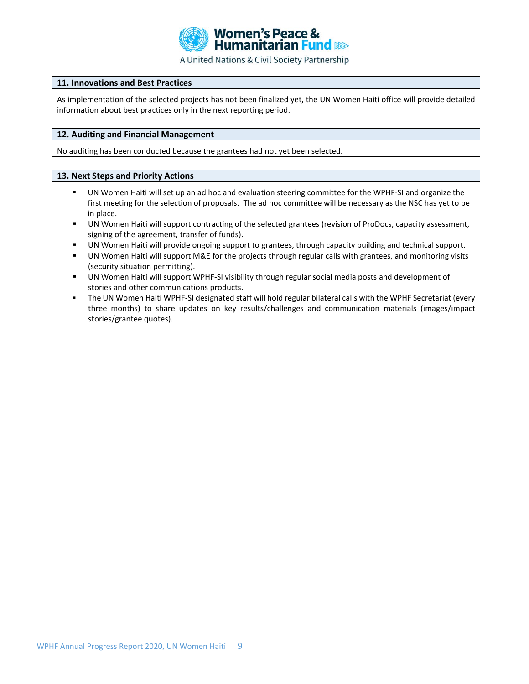

#### **11. Innovations and Best Practices**

As implementation of the selected projects has not been finalized yet, the UN Women Haiti office will provide detailed information about best practices only in the next reporting period.

#### **12. Auditing and Financial Management**

No auditing has been conducted because the grantees had not yet been selected.

#### **13. Next Steps and Priority Actions**

- UN Women Haiti will set up an ad hoc and evaluation steering committee for the WPHF-SI and organize the first meeting for the selection of proposals. The ad hoc committee will be necessary as the NSC has yet to be in place.
- UN Women Haiti will support contracting of the selected grantees (revision of ProDocs, capacity assessment, signing of the agreement, transfer of funds).
- UN Women Haiti will provide ongoing support to grantees, through capacity building and technical support.
- UN Women Haiti will support M&E for the projects through regular calls with grantees, and monitoring visits (security situation permitting).
- UN Women Haiti will support WPHF-SI visibility through regular social media posts and development of stories and other communications products.
- The UN Women Haiti WPHF-SI designated staff will hold regular bilateral calls with the WPHF Secretariat (every three months) to share updates on key results/challenges and communication materials (images/impact stories/grantee quotes).